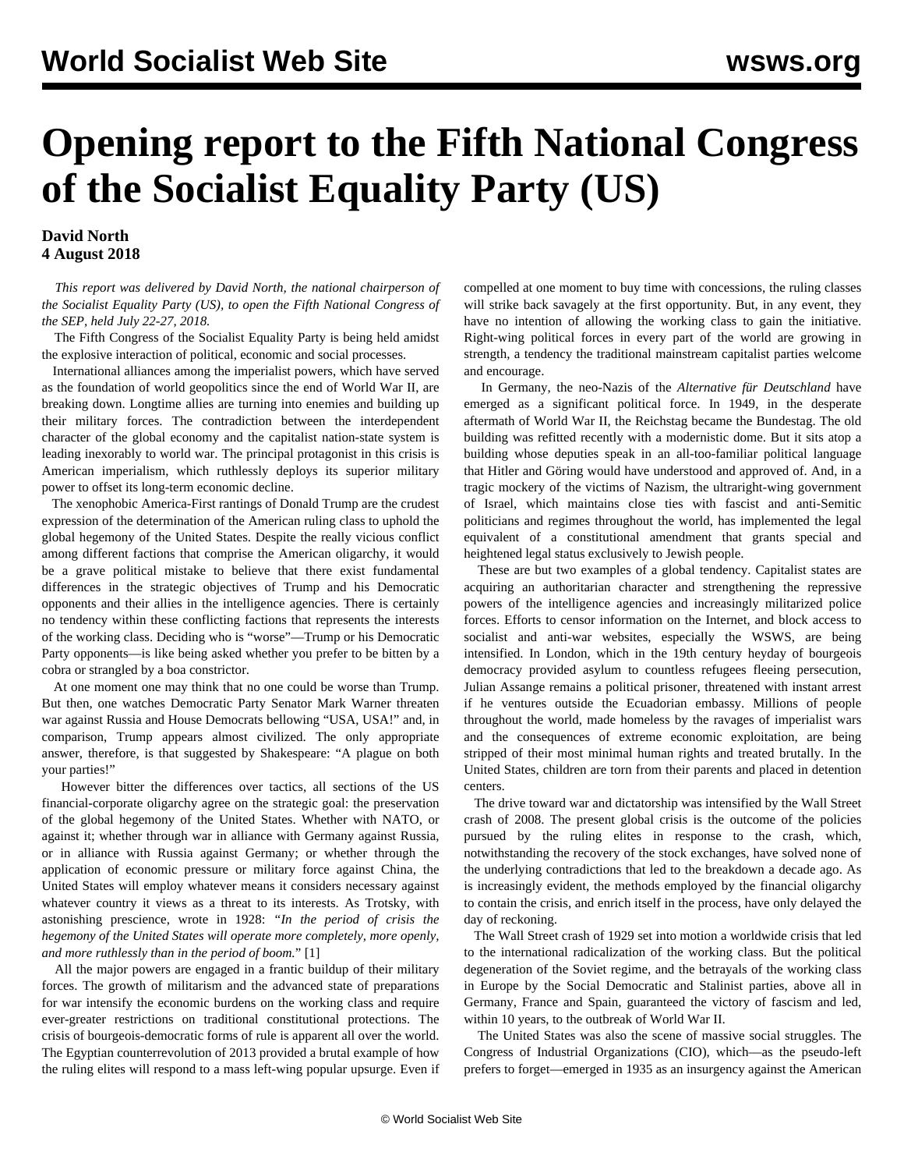# **Opening report to the Fifth National Congress of the Socialist Equality Party (US)**

## **David North 4 August 2018**

 *This report was delivered by David North, the national chairperson of the Socialist Equality Party (US), to open the Fifth National Congress of the SEP, held July 22-27, 2018.*

 The Fifth Congress of the Socialist Equality Party is being held amidst the explosive interaction of political, economic and social processes.

 International alliances among the imperialist powers, which have served as the foundation of world geopolitics since the end of World War II, are breaking down. Longtime allies are turning into enemies and building up their military forces. The contradiction between the interdependent character of the global economy and the capitalist nation-state system is leading inexorably to world war. The principal protagonist in this crisis is American imperialism, which ruthlessly deploys its superior military power to offset its long-term economic decline.

 The xenophobic America-First rantings of Donald Trump are the crudest expression of the determination of the American ruling class to uphold the global hegemony of the United States. Despite the really vicious conflict among different factions that comprise the American oligarchy, it would be a grave political mistake to believe that there exist fundamental differences in the strategic objectives of Trump and his Democratic opponents and their allies in the intelligence agencies. There is certainly no tendency within these conflicting factions that represents the interests of the working class. Deciding who is "worse"—Trump or his Democratic Party opponents—is like being asked whether you prefer to be bitten by a cobra or strangled by a boa constrictor.

 At one moment one may think that no one could be worse than Trump. But then, one watches Democratic Party Senator Mark Warner threaten war against Russia and House Democrats bellowing "USA, USA!" and, in comparison, Trump appears almost civilized. The only appropriate answer, therefore, is that suggested by Shakespeare: "A plague on both your parties!"

 However bitter the differences over tactics, all sections of the US financial-corporate oligarchy agree on the strategic goal: the preservation of the global hegemony of the United States. Whether with NATO, or against it; whether through war in alliance with Germany against Russia, or in alliance with Russia against Germany; or whether through the application of economic pressure or military force against China, the United States will employ whatever means it considers necessary against whatever country it views as a threat to its interests. As Trotsky, with astonishing prescience, wrote in 1928: *"In the period of crisis the hegemony of the United States will operate more completely, more openly, and more ruthlessly than in the period of boom.*" [1]

 All the major powers are engaged in a frantic buildup of their military forces. The growth of militarism and the advanced state of preparations for war intensify the economic burdens on the working class and require ever-greater restrictions on traditional constitutional protections. The crisis of bourgeois-democratic forms of rule is apparent all over the world. The Egyptian counterrevolution of 2013 provided a brutal example of how the ruling elites will respond to a mass left-wing popular upsurge. Even if compelled at one moment to buy time with concessions, the ruling classes will strike back savagely at the first opportunity. But, in any event, they have no intention of allowing the working class to gain the initiative. Right-wing political forces in every part of the world are growing in strength, a tendency the traditional mainstream capitalist parties welcome and encourage.

 In Germany, the neo-Nazis of the *Alternative für Deutschland* have emerged as a significant political force. In 1949, in the desperate aftermath of World War II, the Reichstag became the Bundestag. The old building was refitted recently with a modernistic dome. But it sits atop a building whose deputies speak in an all-too-familiar political language that Hitler and Göring would have understood and approved of. And, in a tragic mockery of the victims of Nazism, the ultraright-wing government of Israel, which maintains close ties with fascist and anti-Semitic politicians and regimes throughout the world, has implemented the legal equivalent of a constitutional amendment that grants special and heightened legal status exclusively to Jewish people.

 These are but two examples of a global tendency. Capitalist states are acquiring an authoritarian character and strengthening the repressive powers of the intelligence agencies and increasingly militarized police forces. Efforts to censor information on the Internet, and block access to socialist and anti-war websites, especially the WSWS, are being intensified. In London, which in the 19th century heyday of bourgeois democracy provided asylum to countless refugees fleeing persecution, Julian Assange remains a political prisoner, threatened with instant arrest if he ventures outside the Ecuadorian embassy. Millions of people throughout the world, made homeless by the ravages of imperialist wars and the consequences of extreme economic exploitation, are being stripped of their most minimal human rights and treated brutally. In the United States, children are torn from their parents and placed in detention centers.

 The drive toward war and dictatorship was intensified by the Wall Street crash of 2008. The present global crisis is the outcome of the policies pursued by the ruling elites in response to the crash, which, notwithstanding the recovery of the stock exchanges, have solved none of the underlying contradictions that led to the breakdown a decade ago. As is increasingly evident, the methods employed by the financial oligarchy to contain the crisis, and enrich itself in the process, have only delayed the day of reckoning.

 The Wall Street crash of 1929 set into motion a worldwide crisis that led to the international radicalization of the working class. But the political degeneration of the Soviet regime, and the betrayals of the working class in Europe by the Social Democratic and Stalinist parties, above all in Germany, France and Spain, guaranteed the victory of fascism and led, within 10 years, to the outbreak of World War II.

 The United States was also the scene of massive social struggles. The Congress of Industrial Organizations (CIO), which—as the pseudo-left prefers to forget—emerged in 1935 as an insurgency against the American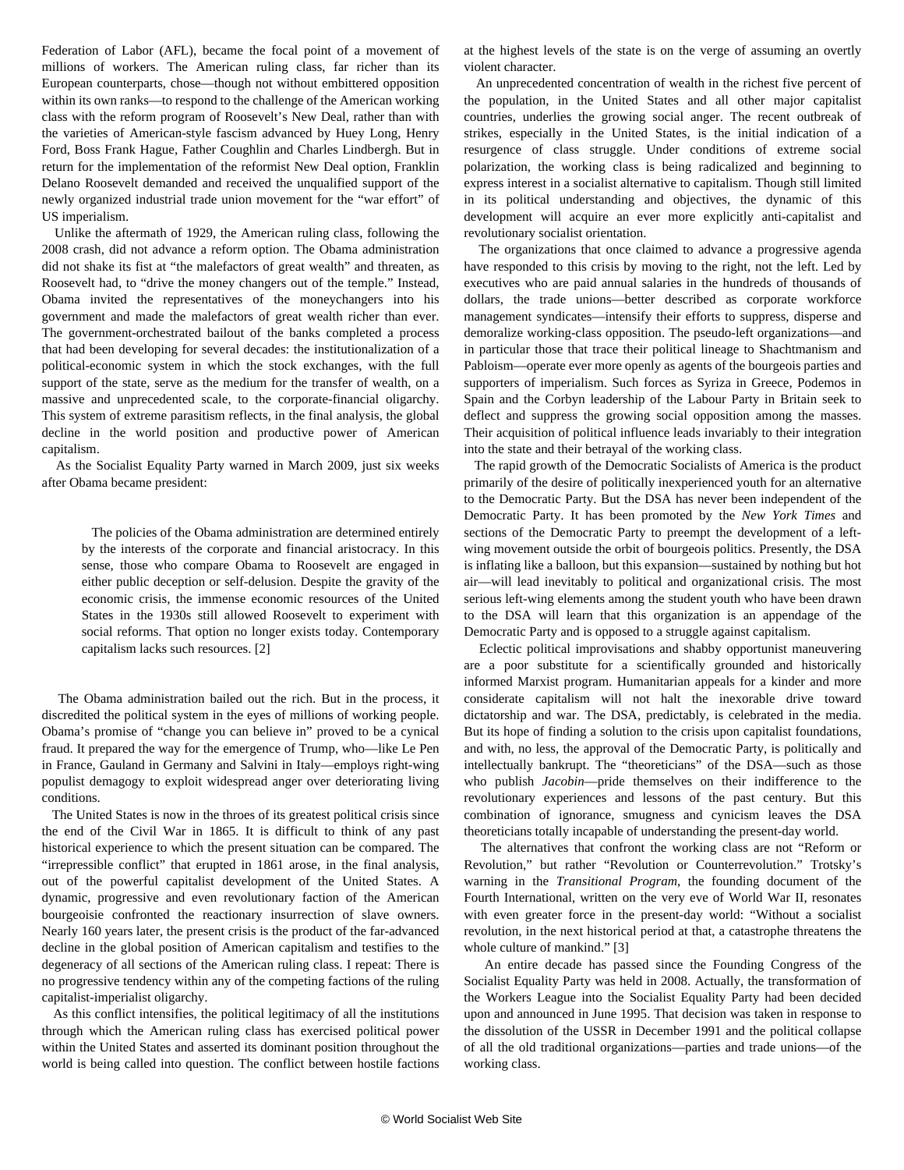Federation of Labor (AFL), became the focal point of a movement of millions of workers. The American ruling class, far richer than its European counterparts, chose—though not without embittered opposition within its own ranks—to respond to the challenge of the American working class with the reform program of Roosevelt's New Deal, rather than with the varieties of American-style fascism advanced by Huey Long, Henry Ford, Boss Frank Hague, Father Coughlin and Charles Lindbergh. But in return for the implementation of the reformist New Deal option, Franklin Delano Roosevelt demanded and received the unqualified support of the newly organized industrial trade union movement for the "war effort" of US imperialism.

 Unlike the aftermath of 1929, the American ruling class, following the 2008 crash, did not advance a reform option. The Obama administration did not shake its fist at "the malefactors of great wealth" and threaten, as Roosevelt had, to "drive the money changers out of the temple." Instead, Obama invited the representatives of the moneychangers into his government and made the malefactors of great wealth richer than ever. The government-orchestrated bailout of the banks completed a process that had been developing for several decades: the institutionalization of a political-economic system in which the stock exchanges, with the full support of the state, serve as the medium for the transfer of wealth, on a massive and unprecedented scale, to the corporate-financial oligarchy. This system of extreme parasitism reflects, in the final analysis, the global decline in the world position and productive power of American capitalism.

 As the Socialist Equality Party warned in March 2009, just six weeks after Obama became president:

 The policies of the Obama administration are determined entirely by the interests of the corporate and financial aristocracy. In this sense, those who compare Obama to Roosevelt are engaged in either public deception or self-delusion. Despite the gravity of the economic crisis, the immense economic resources of the United States in the 1930s still allowed Roosevelt to experiment with social reforms. That option no longer exists today. Contemporary capitalism lacks such resources. [2]

 The Obama administration bailed out the rich. But in the process, it discredited the political system in the eyes of millions of working people. Obama's promise of "change you can believe in" proved to be a cynical fraud. It prepared the way for the emergence of Trump, who—like Le Pen in France, Gauland in Germany and Salvini in Italy—employs right-wing populist demagogy to exploit widespread anger over deteriorating living conditions.

 The United States is now in the throes of its greatest political crisis since the end of the Civil War in 1865. It is difficult to think of any past historical experience to which the present situation can be compared. The "irrepressible conflict" that erupted in 1861 arose, in the final analysis, out of the powerful capitalist development of the United States. A dynamic, progressive and even revolutionary faction of the American bourgeoisie confronted the reactionary insurrection of slave owners. Nearly 160 years later, the present crisis is the product of the far-advanced decline in the global position of American capitalism and testifies to the degeneracy of all sections of the American ruling class. I repeat: There is no progressive tendency within any of the competing factions of the ruling capitalist-imperialist oligarchy.

 As this conflict intensifies, the political legitimacy of all the institutions through which the American ruling class has exercised political power within the United States and asserted its dominant position throughout the world is being called into question. The conflict between hostile factions

at the highest levels of the state is on the verge of assuming an overtly violent character.

 An unprecedented concentration of wealth in the richest five percent of the population, in the United States and all other major capitalist countries, underlies the growing social anger. The recent outbreak of strikes, especially in the United States, is the initial indication of a resurgence of class struggle. Under conditions of extreme social polarization, the working class is being radicalized and beginning to express interest in a socialist alternative to capitalism. Though still limited in its political understanding and objectives, the dynamic of this development will acquire an ever more explicitly anti-capitalist and revolutionary socialist orientation.

 The organizations that once claimed to advance a progressive agenda have responded to this crisis by moving to the right, not the left. Led by executives who are paid annual salaries in the hundreds of thousands of dollars, the trade unions—better described as corporate workforce management syndicates—intensify their efforts to suppress, disperse and demoralize working-class opposition. The pseudo-left organizations—and in particular those that trace their political lineage to Shachtmanism and Pabloism—operate ever more openly as agents of the bourgeois parties and supporters of imperialism. Such forces as Syriza in Greece, Podemos in Spain and the Corbyn leadership of the Labour Party in Britain seek to deflect and suppress the growing social opposition among the masses. Their acquisition of political influence leads invariably to their integration into the state and their betrayal of the working class.

 The rapid growth of the Democratic Socialists of America is the product primarily of the desire of politically inexperienced youth for an alternative to the Democratic Party. But the DSA has never been independent of the Democratic Party. It has been promoted by the *New York Times* and sections of the Democratic Party to preempt the development of a leftwing movement outside the orbit of bourgeois politics. Presently, the DSA is inflating like a balloon, but this expansion—sustained by nothing but hot air—will lead inevitably to political and organizational crisis. The most serious left-wing elements among the student youth who have been drawn to the DSA will learn that this organization is an appendage of the Democratic Party and is opposed to a struggle against capitalism.

 Eclectic political improvisations and shabby opportunist maneuvering are a poor substitute for a scientifically grounded and historically informed Marxist program. Humanitarian appeals for a kinder and more considerate capitalism will not halt the inexorable drive toward dictatorship and war. The DSA, predictably, is celebrated in the media. But its hope of finding a solution to the crisis upon capitalist foundations, and with, no less, the approval of the Democratic Party, is politically and intellectually bankrupt. The "theoreticians" of the DSA—such as those who publish *Jacobin*—pride themselves on their indifference to the revolutionary experiences and lessons of the past century. But this combination of ignorance, smugness and cynicism leaves the DSA theoreticians totally incapable of understanding the present-day world.

 The alternatives that confront the working class are not "Reform or Revolution," but rather "Revolution or Counterrevolution." Trotsky's warning in the *Transitional Program*, the founding document of the Fourth International, written on the very eve of World War II, resonates with even greater force in the present-day world: "Without a socialist revolution, in the next historical period at that, a catastrophe threatens the whole culture of mankind." [3]

 An entire decade has passed since the Founding Congress of the Socialist Equality Party was held in 2008. Actually, the transformation of the Workers League into the Socialist Equality Party had been decided upon and announced in June 1995. That decision was taken in response to the dissolution of the USSR in December 1991 and the political collapse of all the old traditional organizations—parties and trade unions—of the working class.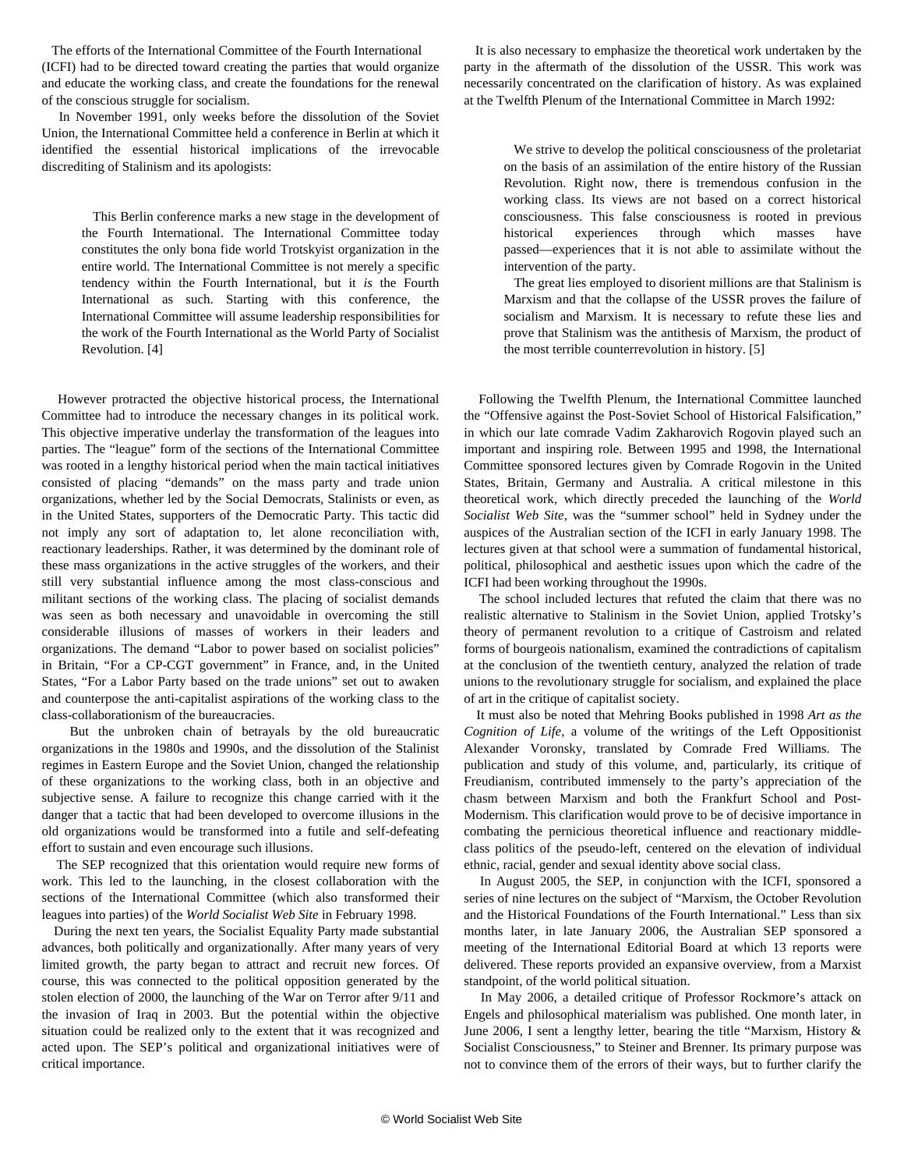The efforts of the International Committee of the Fourth International (ICFI) had to be directed toward creating the parties that would organize and educate the working class, and create the foundations for the renewal of the conscious struggle for socialism.

 In November 1991, only weeks before the dissolution of the Soviet Union, the International Committee held a conference in Berlin at which it identified the essential historical implications of the irrevocable discrediting of Stalinism and its apologists:

 This Berlin conference marks a new stage in the development of the Fourth International. The International Committee today constitutes the only bona fide world Trotskyist organization in the entire world. The International Committee is not merely a specific tendency within the Fourth International, but it *is* the Fourth International as such. Starting with this conference, the International Committee will assume leadership responsibilities for the work of the Fourth International as the World Party of Socialist Revolution. [4]

 However protracted the objective historical process, the International Committee had to introduce the necessary changes in its political work. This objective imperative underlay the transformation of the leagues into parties. The "league" form of the sections of the International Committee was rooted in a lengthy historical period when the main tactical initiatives consisted of placing "demands" on the mass party and trade union organizations, whether led by the Social Democrats, Stalinists or even, as in the United States, supporters of the Democratic Party. This tactic did not imply any sort of adaptation to, let alone reconciliation with, reactionary leaderships. Rather, it was determined by the dominant role of these mass organizations in the active struggles of the workers, and their still very substantial influence among the most class-conscious and militant sections of the working class. The placing of socialist demands was seen as both necessary and unavoidable in overcoming the still considerable illusions of masses of workers in their leaders and organizations. The demand "Labor to power based on socialist policies" in Britain, "For a CP-CGT government" in France, and, in the United States, "For a Labor Party based on the trade unions" set out to awaken and counterpose the anti-capitalist aspirations of the working class to the class-collaborationism of the bureaucracies.

 But the unbroken chain of betrayals by the old bureaucratic organizations in the 1980s and 1990s, and the dissolution of the Stalinist regimes in Eastern Europe and the Soviet Union, changed the relationship of these organizations to the working class, both in an objective and subjective sense. A failure to recognize this change carried with it the danger that a tactic that had been developed to overcome illusions in the old organizations would be transformed into a futile and self-defeating effort to sustain and even encourage such illusions.

 The SEP recognized that this orientation would require new forms of work. This led to the launching, in the closest collaboration with the sections of the International Committee (which also transformed their leagues into parties) of the *World Socialist Web Site* in February 1998.

 During the next ten years, the Socialist Equality Party made substantial advances, both politically and organizationally. After many years of very limited growth, the party began to attract and recruit new forces. Of course, this was connected to the political opposition generated by the stolen election of 2000, the launching of the War on Terror after 9/11 and the invasion of Iraq in 2003. But the potential within the objective situation could be realized only to the extent that it was recognized and acted upon. The SEP's political and organizational initiatives were of critical importance.

 It is also necessary to emphasize the theoretical work undertaken by the party in the aftermath of the dissolution of the USSR. This work was necessarily concentrated on the clarification of history. As was explained at the Twelfth Plenum of the International Committee in March 1992:

 We strive to develop the political consciousness of the proletariat on the basis of an assimilation of the entire history of the Russian Revolution. Right now, there is tremendous confusion in the working class. Its views are not based on a correct historical consciousness. This false consciousness is rooted in previous historical experiences through which masses have passed—experiences that it is not able to assimilate without the intervention of the party.

 The great lies employed to disorient millions are that Stalinism is Marxism and that the collapse of the USSR proves the failure of socialism and Marxism. It is necessary to refute these lies and prove that Stalinism was the antithesis of Marxism, the product of the most terrible counterrevolution in history. [5]

 Following the Twelfth Plenum, the International Committee launched the "Offensive against the Post-Soviet School of Historical Falsification," in which our late comrade Vadim Zakharovich Rogovin played such an important and inspiring role. Between 1995 and 1998, the International Committee sponsored lectures given by Comrade Rogovin in the United States, Britain, Germany and Australia. A critical milestone in this theoretical work, which directly preceded the launching of the *World Socialist Web Site*, was the "summer school" held in Sydney under the auspices of the Australian section of the ICFI in early January 1998. The lectures given at that school were a summation of fundamental historical, political, philosophical and aesthetic issues upon which the cadre of the ICFI had been working throughout the 1990s.

 The school included lectures that refuted the claim that there was no realistic alternative to Stalinism in the Soviet Union, applied Trotsky's theory of permanent revolution to a critique of Castroism and related forms of bourgeois nationalism, examined the contradictions of capitalism at the conclusion of the twentieth century, analyzed the relation of trade unions to the revolutionary struggle for socialism, and explained the place of art in the critique of capitalist society.

 It must also be noted that Mehring Books published in 1998 *Art as the Cognition of Life*, a volume of the writings of the Left Oppositionist Alexander Voronsky, translated by Comrade Fred Williams. The publication and study of this volume, and, particularly, its critique of Freudianism, contributed immensely to the party's appreciation of the chasm between Marxism and both the Frankfurt School and Post-Modernism. This clarification would prove to be of decisive importance in combating the pernicious theoretical influence and reactionary middleclass politics of the pseudo-left, centered on the elevation of individual ethnic, racial, gender and sexual identity above social class.

 In August 2005, the SEP, in conjunction with the ICFI, sponsored a series of nine lectures on the subject of "Marxism, the October Revolution and the Historical Foundations of the Fourth International." Less than six months later, in late January 2006, the Australian SEP sponsored a meeting of the International Editorial Board at which 13 reports were delivered. These reports provided an expansive overview, from a Marxist standpoint, of the world political situation.

 In May 2006, a detailed critique of Professor Rockmore's attack on Engels and philosophical materialism was published. One month later, in June 2006, I sent a lengthy letter, bearing the title "Marxism, History & Socialist Consciousness," to Steiner and Brenner. Its primary purpose was not to convince them of the errors of their ways, but to further clarify the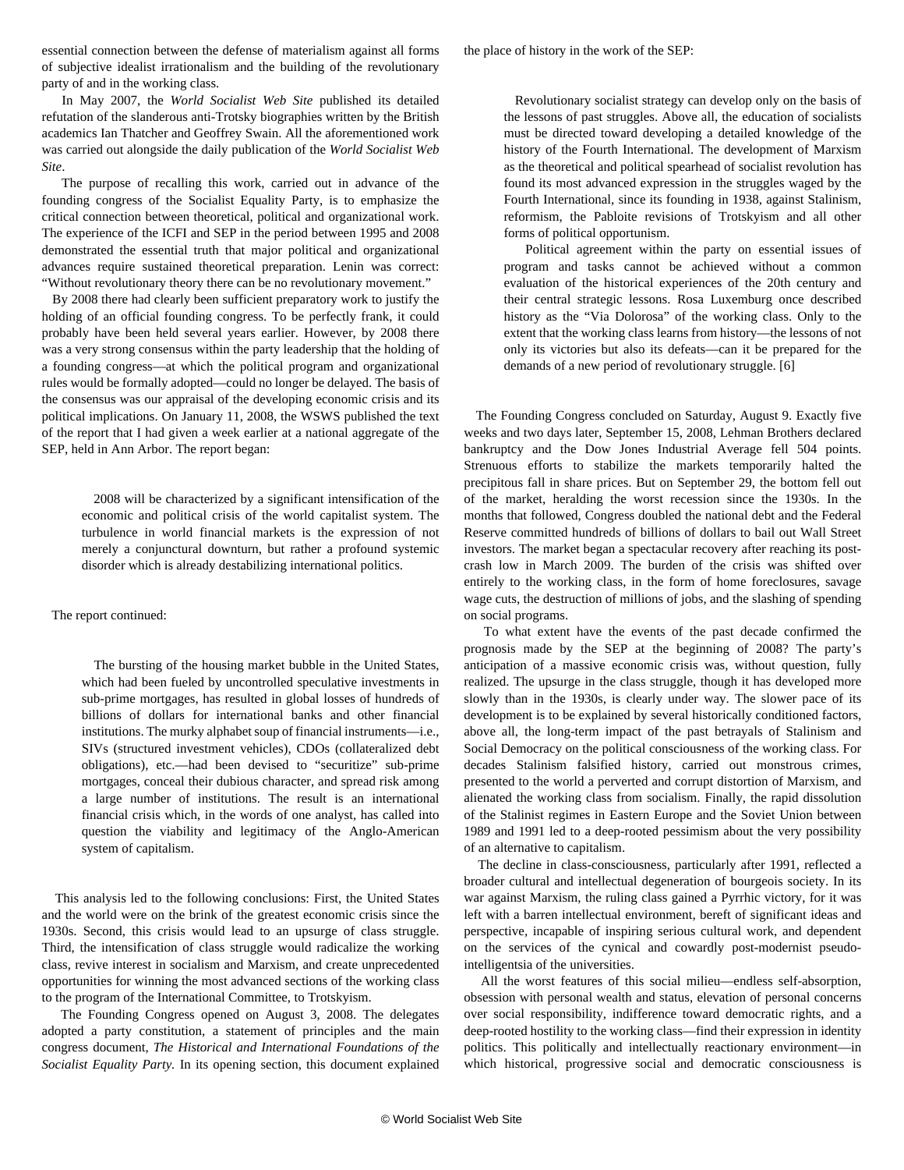essential connection between the defense of materialism against all forms of subjective idealist irrationalism and the building of the revolutionary party of and in the working class.

 In May 2007, the *World Socialist Web Site* published its detailed refutation of the slanderous anti-Trotsky biographies written by the British academics Ian Thatcher and Geoffrey Swain. All the aforementioned work was carried out alongside the daily publication of the *World Socialist Web Site*.

 The purpose of recalling this work, carried out in advance of the founding congress of the Socialist Equality Party, is to emphasize the critical connection between theoretical, political and organizational work. The experience of the ICFI and SEP in the period between 1995 and 2008 demonstrated the essential truth that major political and organizational advances require sustained theoretical preparation. Lenin was correct: "Without revolutionary theory there can be no revolutionary movement."

 By 2008 there had clearly been sufficient preparatory work to justify the holding of an official founding congress. To be perfectly frank, it could probably have been held several years earlier. However, by 2008 there was a very strong consensus within the party leadership that the holding of a founding congress—at which the political program and organizational rules would be formally adopted—could no longer be delayed. The basis of the consensus was our appraisal of the developing economic crisis and its political implications. On January 11, 2008, the WSWS published the text of the report that I had given a week earlier at a national aggregate of the SEP, held in Ann Arbor. The report began:

 2008 will be characterized by a significant intensification of the economic and political crisis of the world capitalist system. The turbulence in world financial markets is the expression of not merely a conjunctural downturn, but rather a profound systemic disorder which is already destabilizing international politics.

### The report continued:

 The bursting of the housing market bubble in the United States, which had been fueled by uncontrolled speculative investments in sub-prime mortgages, has resulted in global losses of hundreds of billions of dollars for international banks and other financial institutions. The murky alphabet soup of financial instruments—i.e., SIVs (structured investment vehicles), CDOs (collateralized debt obligations), etc.—had been devised to "securitize" sub-prime mortgages, conceal their dubious character, and spread risk among a large number of institutions. The result is an international financial crisis which, in the words of one analyst, has called into question the viability and legitimacy of the Anglo-American system of capitalism.

 This analysis led to the following conclusions: First, the United States and the world were on the brink of the greatest economic crisis since the 1930s. Second, this crisis would lead to an upsurge of class struggle. Third, the intensification of class struggle would radicalize the working class, revive interest in socialism and Marxism, and create unprecedented opportunities for winning the most advanced sections of the working class to the program of the International Committee, to Trotskyism.

 The Founding Congress opened on August 3, 2008. The delegates adopted a party constitution, a statement of principles and the main congress document, *The Historical and International Foundations of the Socialist Equality Party.* In its opening section, this document explained the place of history in the work of the SEP:

 Revolutionary socialist strategy can develop only on the basis of the lessons of past struggles. Above all, the education of socialists must be directed toward developing a detailed knowledge of the history of the Fourth International. The development of Marxism as the theoretical and political spearhead of socialist revolution has found its most advanced expression in the struggles waged by the Fourth International, since its founding in 1938, against Stalinism, reformism, the Pabloite revisions of Trotskyism and all other forms of political opportunism.

 Political agreement within the party on essential issues of program and tasks cannot be achieved without a common evaluation of the historical experiences of the 20th century and their central strategic lessons. Rosa Luxemburg once described history as the "Via Dolorosa" of the working class. Only to the extent that the working class learns from history—the lessons of not only its victories but also its defeats—can it be prepared for the demands of a new period of revolutionary struggle. [6]

 The Founding Congress concluded on Saturday, August 9. Exactly five weeks and two days later, September 15, 2008, Lehman Brothers declared bankruptcy and the Dow Jones Industrial Average fell 504 points. Strenuous efforts to stabilize the markets temporarily halted the precipitous fall in share prices. But on September 29, the bottom fell out of the market, heralding the worst recession since the 1930s. In the months that followed, Congress doubled the national debt and the Federal Reserve committed hundreds of billions of dollars to bail out Wall Street investors. The market began a spectacular recovery after reaching its postcrash low in March 2009. The burden of the crisis was shifted over entirely to the working class, in the form of home foreclosures, savage wage cuts, the destruction of millions of jobs, and the slashing of spending on social programs.

 To what extent have the events of the past decade confirmed the prognosis made by the SEP at the beginning of 2008? The party's anticipation of a massive economic crisis was, without question, fully realized. The upsurge in the class struggle, though it has developed more slowly than in the 1930s, is clearly under way. The slower pace of its development is to be explained by several historically conditioned factors, above all, the long-term impact of the past betrayals of Stalinism and Social Democracy on the political consciousness of the working class. For decades Stalinism falsified history, carried out monstrous crimes, presented to the world a perverted and corrupt distortion of Marxism, and alienated the working class from socialism. Finally, the rapid dissolution of the Stalinist regimes in Eastern Europe and the Soviet Union between 1989 and 1991 led to a deep-rooted pessimism about the very possibility of an alternative to capitalism.

 The decline in class-consciousness, particularly after 1991, reflected a broader cultural and intellectual degeneration of bourgeois society. In its war against Marxism, the ruling class gained a Pyrrhic victory, for it was left with a barren intellectual environment, bereft of significant ideas and perspective, incapable of inspiring serious cultural work, and dependent on the services of the cynical and cowardly post-modernist pseudointelligentsia of the universities.

 All the worst features of this social milieu—endless self-absorption, obsession with personal wealth and status, elevation of personal concerns over social responsibility, indifference toward democratic rights, and a deep-rooted hostility to the working class—find their expression in identity politics. This politically and intellectually reactionary environment—in which historical, progressive social and democratic consciousness is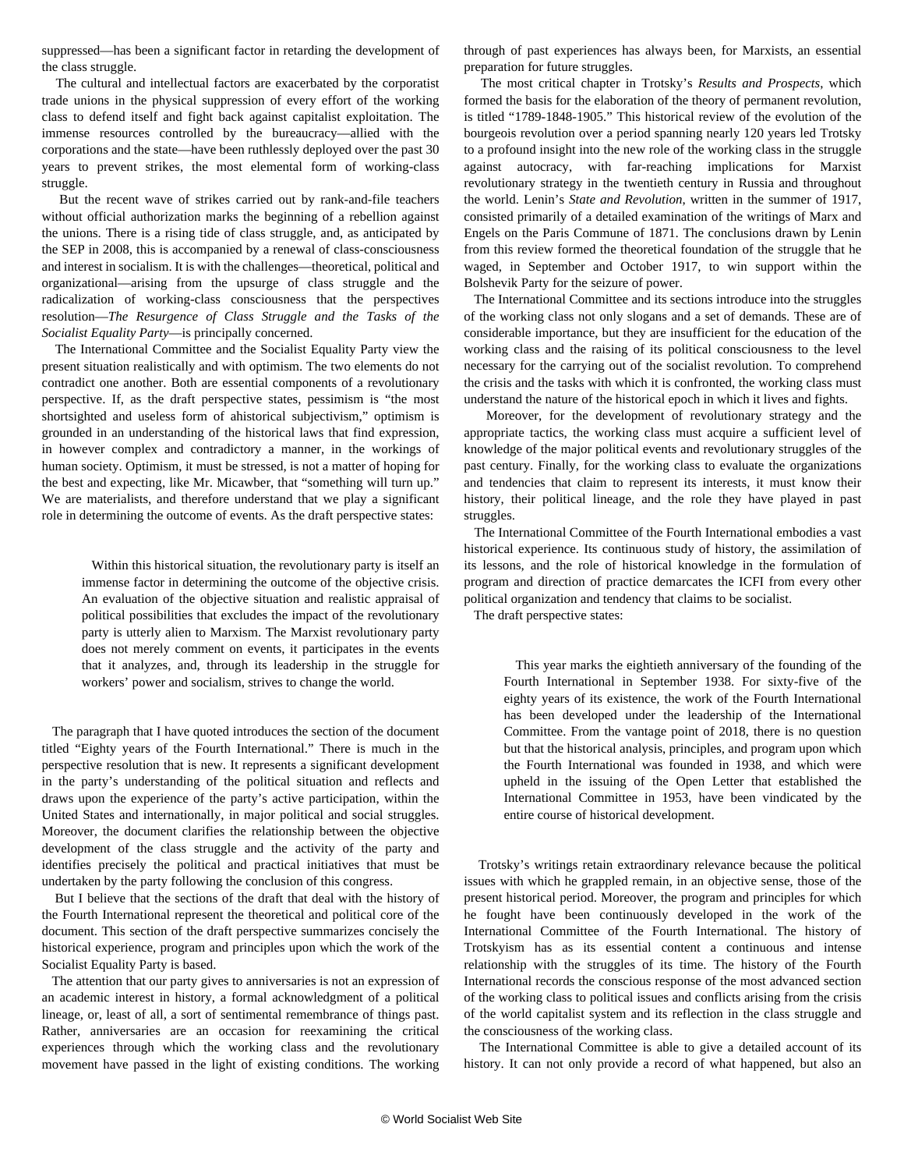suppressed—has been a significant factor in retarding the development of the class struggle.

 The cultural and intellectual factors are exacerbated by the corporatist trade unions in the physical suppression of every effort of the working class to defend itself and fight back against capitalist exploitation. The immense resources controlled by the bureaucracy—allied with the corporations and the state—have been ruthlessly deployed over the past 30 years to prevent strikes, the most elemental form of working-class struggle.

 But the recent wave of strikes carried out by rank-and-file teachers without official authorization marks the beginning of a rebellion against the unions. There is a rising tide of class struggle, and, as anticipated by the SEP in 2008, this is accompanied by a renewal of class-consciousness and interest in socialism. It is with the challenges—theoretical, political and organizational—arising from the upsurge of class struggle and the radicalization of working-class consciousness that the perspectives resolution—*The Resurgence of Class Struggle and the Tasks of the Socialist Equality Party*—is principally concerned.

 The International Committee and the Socialist Equality Party view the present situation realistically and with optimism. The two elements do not contradict one another. Both are essential components of a revolutionary perspective. If, as the draft perspective states, pessimism is "the most shortsighted and useless form of ahistorical subjectivism," optimism is grounded in an understanding of the historical laws that find expression, in however complex and contradictory a manner, in the workings of human society. Optimism, it must be stressed, is not a matter of hoping for the best and expecting, like Mr. Micawber, that "something will turn up." We are materialists, and therefore understand that we play a significant role in determining the outcome of events. As the draft perspective states:

 Within this historical situation, the revolutionary party is itself an immense factor in determining the outcome of the objective crisis. An evaluation of the objective situation and realistic appraisal of political possibilities that excludes the impact of the revolutionary party is utterly alien to Marxism. The Marxist revolutionary party does not merely comment on events, it participates in the events that it analyzes, and, through its leadership in the struggle for workers' power and socialism, strives to change the world.

 The paragraph that I have quoted introduces the section of the document titled "Eighty years of the Fourth International." There is much in the perspective resolution that is new. It represents a significant development in the party's understanding of the political situation and reflects and draws upon the experience of the party's active participation, within the United States and internationally, in major political and social struggles. Moreover, the document clarifies the relationship between the objective development of the class struggle and the activity of the party and identifies precisely the political and practical initiatives that must be undertaken by the party following the conclusion of this congress.

 But I believe that the sections of the draft that deal with the history of the Fourth International represent the theoretical and political core of the document. This section of the draft perspective summarizes concisely the historical experience, program and principles upon which the work of the Socialist Equality Party is based.

 The attention that our party gives to anniversaries is not an expression of an academic interest in history, a formal acknowledgment of a political lineage, or, least of all, a sort of sentimental remembrance of things past. Rather, anniversaries are an occasion for reexamining the critical experiences through which the working class and the revolutionary movement have passed in the light of existing conditions. The working through of past experiences has always been, for Marxists, an essential preparation for future struggles.

 The most critical chapter in Trotsky's *Results and Prospects*, which formed the basis for the elaboration of the theory of permanent revolution, is titled "1789-1848-1905." This historical review of the evolution of the bourgeois revolution over a period spanning nearly 120 years led Trotsky to a profound insight into the new role of the working class in the struggle against autocracy, with far-reaching implications for Marxist revolutionary strategy in the twentieth century in Russia and throughout the world. Lenin's *State and Revolution*, written in the summer of 1917, consisted primarily of a detailed examination of the writings of Marx and Engels on the Paris Commune of 1871. The conclusions drawn by Lenin from this review formed the theoretical foundation of the struggle that he waged, in September and October 1917, to win support within the Bolshevik Party for the seizure of power.

 The International Committee and its sections introduce into the struggles of the working class not only slogans and a set of demands. These are of considerable importance, but they are insufficient for the education of the working class and the raising of its political consciousness to the level necessary for the carrying out of the socialist revolution. To comprehend the crisis and the tasks with which it is confronted, the working class must understand the nature of the historical epoch in which it lives and fights.

 Moreover, for the development of revolutionary strategy and the appropriate tactics, the working class must acquire a sufficient level of knowledge of the major political events and revolutionary struggles of the past century. Finally, for the working class to evaluate the organizations and tendencies that claim to represent its interests, it must know their history, their political lineage, and the role they have played in past struggles.

 The International Committee of the Fourth International embodies a vast historical experience. Its continuous study of history, the assimilation of its lessons, and the role of historical knowledge in the formulation of program and direction of practice demarcates the ICFI from every other political organization and tendency that claims to be socialist.

The draft perspective states:

 This year marks the eightieth anniversary of the founding of the Fourth International in September 1938. For sixty-five of the eighty years of its existence, the work of the Fourth International has been developed under the leadership of the International Committee. From the vantage point of 2018, there is no question but that the historical analysis, principles, and program upon which the Fourth International was founded in 1938, and which were upheld in the issuing of the Open Letter that established the International Committee in 1953, have been vindicated by the entire course of historical development.

 Trotsky's writings retain extraordinary relevance because the political issues with which he grappled remain, in an objective sense, those of the present historical period. Moreover, the program and principles for which he fought have been continuously developed in the work of the International Committee of the Fourth International. The history of Trotskyism has as its essential content a continuous and intense relationship with the struggles of its time. The history of the Fourth International records the conscious response of the most advanced section of the working class to political issues and conflicts arising from the crisis of the world capitalist system and its reflection in the class struggle and the consciousness of the working class.

 The International Committee is able to give a detailed account of its history. It can not only provide a record of what happened, but also an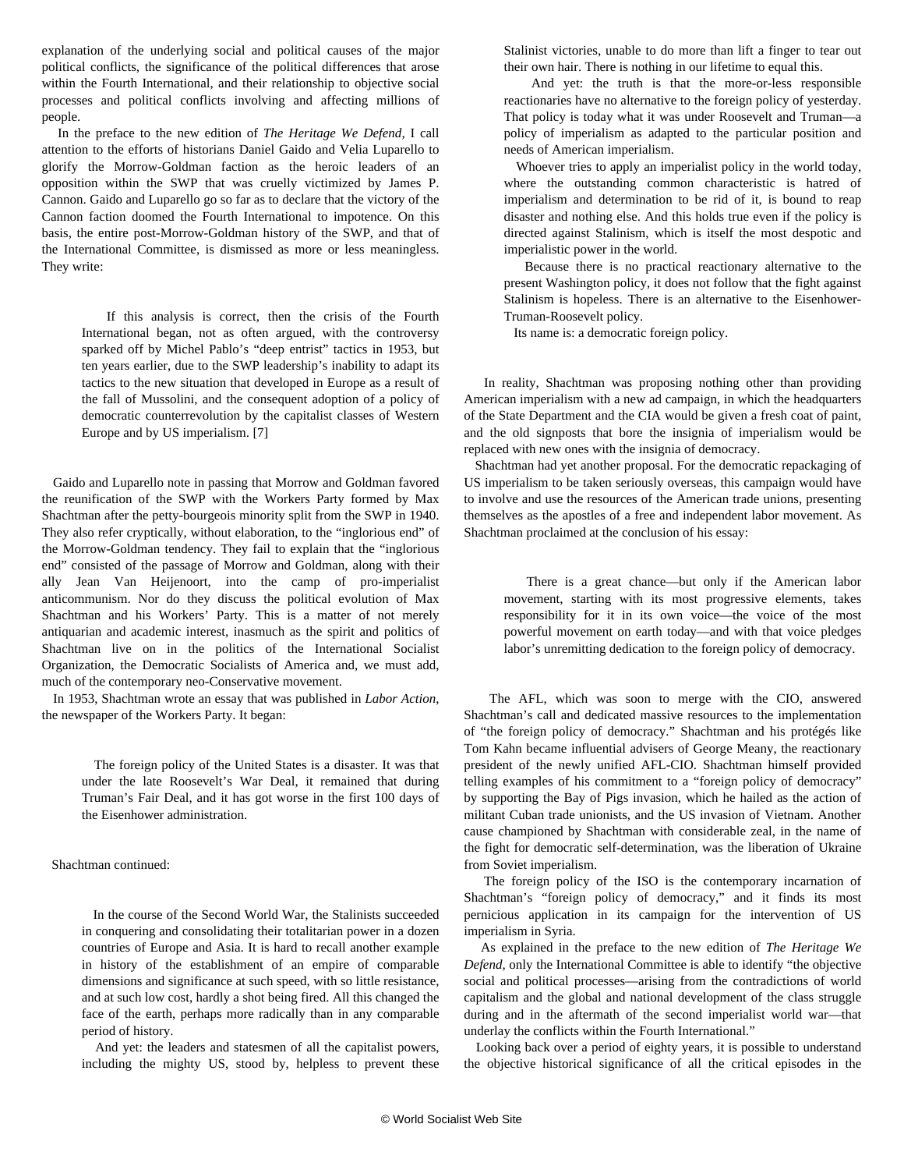explanation of the underlying social and political causes of the major political conflicts, the significance of the political differences that arose within the Fourth International, and their relationship to objective social processes and political conflicts involving and affecting millions of people.

 In the preface to the new edition of *The Heritage We Defend,* I call attention to the efforts of historians Daniel Gaido and Velia Luparello to glorify the Morrow-Goldman faction as the heroic leaders of an opposition within the SWP that was cruelly victimized by James P. Cannon. Gaido and Luparello go so far as to declare that the victory of the Cannon faction doomed the Fourth International to impotence. On this basis, the entire post-Morrow-Goldman history of the SWP, and that of the International Committee, is dismissed as more or less meaningless. They write:

 If this analysis is correct, then the crisis of the Fourth International began, not as often argued, with the controversy sparked off by Michel Pablo's "deep entrist" tactics in 1953, but ten years earlier, due to the SWP leadership's inability to adapt its tactics to the new situation that developed in Europe as a result of the fall of Mussolini, and the consequent adoption of a policy of democratic counterrevolution by the capitalist classes of Western Europe and by US imperialism. [7]

 Gaido and Luparello note in passing that Morrow and Goldman favored the reunification of the SWP with the Workers Party formed by Max Shachtman after the petty-bourgeois minority split from the SWP in 1940. They also refer cryptically, without elaboration, to the "inglorious end" of the Morrow-Goldman tendency. They fail to explain that the "inglorious end" consisted of the passage of Morrow and Goldman, along with their ally Jean Van Heijenoort, into the camp of pro-imperialist anticommunism. Nor do they discuss the political evolution of Max Shachtman and his Workers' Party. This is a matter of not merely antiquarian and academic interest, inasmuch as the spirit and politics of Shachtman live on in the politics of the International Socialist Organization, the Democratic Socialists of America and, we must add, much of the contemporary neo-Conservative movement.

 In 1953, Shachtman wrote an essay that was published in *Labor Action*, the newspaper of the Workers Party. It began:

 The foreign policy of the United States is a disaster. It was that under the late Roosevelt's War Deal, it remained that during Truman's Fair Deal, and it has got worse in the first 100 days of the Eisenhower administration.

#### Shachtman continued:

 In the course of the Second World War, the Stalinists succeeded in conquering and consolidating their totalitarian power in a dozen countries of Europe and Asia. It is hard to recall another example in history of the establishment of an empire of comparable dimensions and significance at such speed, with so little resistance, and at such low cost, hardly a shot being fired. All this changed the face of the earth, perhaps more radically than in any comparable period of history.

 And yet: the leaders and statesmen of all the capitalist powers, including the mighty US, stood by, helpless to prevent these Stalinist victories, unable to do more than lift a finger to tear out their own hair. There is nothing in our lifetime to equal this.

 And yet: the truth is that the more-or-less responsible reactionaries have no alternative to the foreign policy of yesterday. That policy is today what it was under Roosevelt and Truman—a policy of imperialism as adapted to the particular position and needs of American imperialism.

 Whoever tries to apply an imperialist policy in the world today, where the outstanding common characteristic is hatred of imperialism and determination to be rid of it, is bound to reap disaster and nothing else. And this holds true even if the policy is directed against Stalinism, which is itself the most despotic and imperialistic power in the world.

 Because there is no practical reactionary alternative to the present Washington policy, it does not follow that the fight against Stalinism is hopeless. There is an alternative to the Eisenhower-Truman-Roosevelt policy.

Its name is: a democratic foreign policy.

 In reality, Shachtman was proposing nothing other than providing American imperialism with a new ad campaign, in which the headquarters of the State Department and the CIA would be given a fresh coat of paint, and the old signposts that bore the insignia of imperialism would be replaced with new ones with the insignia of democracy.

 Shachtman had yet another proposal. For the democratic repackaging of US imperialism to be taken seriously overseas, this campaign would have to involve and use the resources of the American trade unions, presenting themselves as the apostles of a free and independent labor movement. As Shachtman proclaimed at the conclusion of his essay:

 There is a great chance—but only if the American labor movement, starting with its most progressive elements, takes responsibility for it in its own voice—the voice of the most powerful movement on earth today—and with that voice pledges labor's unremitting dedication to the foreign policy of democracy.

 The AFL, which was soon to merge with the CIO, answered Shachtman's call and dedicated massive resources to the implementation of "the foreign policy of democracy." Shachtman and his protégés like Tom Kahn became influential advisers of George Meany, the reactionary president of the newly unified AFL-CIO. Shachtman himself provided telling examples of his commitment to a "foreign policy of democracy" by supporting the Bay of Pigs invasion, which he hailed as the action of militant Cuban trade unionists, and the US invasion of Vietnam. Another cause championed by Shachtman with considerable zeal, in the name of the fight for democratic self-determination, was the liberation of Ukraine from Soviet imperialism.

 The foreign policy of the ISO is the contemporary incarnation of Shachtman's "foreign policy of democracy," and it finds its most pernicious application in its campaign for the intervention of US imperialism in Syria.

 As explained in the preface to the new edition of *The Heritage We Defend*, only the International Committee is able to identify "the objective social and political processes—arising from the contradictions of world capitalism and the global and national development of the class struggle during and in the aftermath of the second imperialist world war—that underlay the conflicts within the Fourth International."

 Looking back over a period of eighty years, it is possible to understand the objective historical significance of all the critical episodes in the